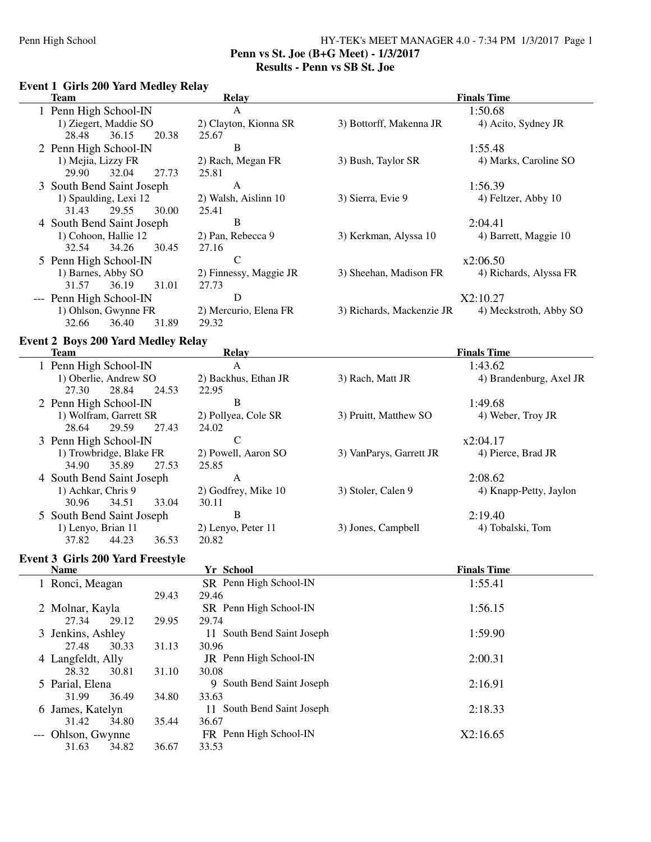### Penn High School HY-TEK's MEET MANAGER 4.0 - 7:34 PM 1/3/2017 Page 1 **Penn vs St. Joe (B+G Meet) - 1/3/2017 Results - Penn vs SB St. Joe**

### **Event 1 Girls 200 Yard Medley Relay**

| <b>Team</b>               | Relay                  | <b>Finals Time</b>        |                        |
|---------------------------|------------------------|---------------------------|------------------------|
| 1 Penn High School-IN     | A                      |                           | 1:50.68                |
| 1) Ziegert, Maddie SO     | 2) Clayton, Kionna SR  | 3) Bottorff, Makenna JR   | 4) Acito, Sydney JR    |
| 28.48<br>36.15<br>20.38   | 25.67                  |                           |                        |
| 2 Penn High School-IN     | B                      |                           | 1:55.48                |
| 1) Mejia, Lizzy FR        | 2) Rach, Megan FR      | 3) Bush, Taylor SR        | 4) Marks, Caroline SO  |
| 32.04<br>27.73<br>29.90   | 25.81                  |                           |                        |
| 3 South Bend Saint Joseph | A                      |                           | 1:56.39                |
| 1) Spaulding, Lexi 12     | 2) Walsh, Aislinn 10   | 3) Sierra, Evie 9         | 4) Feltzer, Abby 10    |
| 29.55<br>30.00<br>31.43   | 25.41                  |                           |                        |
| 4 South Bend Saint Joseph | B                      |                           | 2:04.41                |
| 1) Cohoon, Hallie 12      | 2) Pan, Rebecca 9      | 3) Kerkman, Alyssa 10     | 4) Barrett, Maggie 10  |
| 32.54<br>34.26<br>30.45   | 27.16                  |                           |                        |
| 5 Penn High School-IN     | C                      |                           | x2:06.50               |
| 1) Barnes, Abby SO        | 2) Finnessy, Maggie JR | 3) Sheehan, Madison FR    | 4) Richards, Alyssa FR |
| 31.57<br>31.01<br>36.19   | 27.73                  |                           |                        |
| --- Penn High School-IN   | D                      |                           | X2:10.27               |
| 1) Ohlson, Gwynne FR      | 2) Mercurio, Elena FR  | 3) Richards, Mackenzie JR | 4) Meckstroth, Abby SO |
| 32.66<br>36.40<br>31.89   | 29.32                  |                           |                        |

## **Event 2 Boys 200 Yard Medley Relay**

| Team                      | <b>Relay</b>         | <b>Finals Time</b>      |                         |  |  |
|---------------------------|----------------------|-------------------------|-------------------------|--|--|
| 1 Penn High School-IN     | A                    |                         | 1:43.62                 |  |  |
| 1) Oberlie, Andrew SO     | 2) Backhus, Ethan JR | 3) Rach, Matt JR        | 4) Brandenburg, Axel JR |  |  |
| 27.30<br>28.84<br>24.53   | 22.95                |                         |                         |  |  |
| 2 Penn High School-IN     | B                    |                         | 1:49.68                 |  |  |
| 1) Wolfram, Garrett SR    | 2) Pollyea, Cole SR  | 3) Pruitt, Matthew SO   | 4) Weber, Troy JR       |  |  |
| 27.43<br>29.59<br>28.64   | 24.02                |                         |                         |  |  |
| 3 Penn High School-IN     | C                    |                         | x2:04.17                |  |  |
| 1) Trowbridge, Blake FR   | 2) Powell, Aaron SO  | 3) VanParys, Garrett JR | 4) Pierce, Brad JR      |  |  |
| 35.89<br>27.53<br>34.90   | 25.85                |                         |                         |  |  |
| 4 South Bend Saint Joseph | A                    |                         | 2:08.62                 |  |  |
| 1) Achkar, Chris 9        | 2) Godfrey, Mike 10  | 3) Stoler, Calen 9      | 4) Knapp-Petty, Jaylon  |  |  |
| 30.96<br>34.51<br>33.04   | 30.11                |                         |                         |  |  |
| 5 South Bend Saint Joseph | В                    |                         | 2:19.40                 |  |  |
| 1) Lenyo, Brian 11        | 2) Lenyo, Peter 11   | 3) Jones, Campbell      | 4) Tobalski, Tom        |  |  |
| 37.82<br>44.23<br>36.53   | 20.82                |                         |                         |  |  |

## **Event 3 Girls 200 Yard Freestyle**

| <b>Name</b>        |       | Yr School                     | <b>Finals Time</b> |
|--------------------|-------|-------------------------------|--------------------|
| 1 Ronci, Meagan    |       | SR Penn High School-IN        | 1:55.41            |
|                    | 29.43 | 29.46                         |                    |
| 2 Molnar, Kayla    |       | SR Penn High School-IN        | 1:56.15            |
| 29.12<br>27.34     | 29.95 | 29.74                         |                    |
| 3 Jenkins, Ashley  |       | 11 South Bend Saint Joseph    | 1:59.90            |
| 30.33<br>27.48     | 31.13 | 30.96                         |                    |
| 4 Langfeldt, Ally  |       | JR Penn High School-IN        | 2:00.31            |
| 30.81<br>28.32     | 31.10 | 30.08                         |                    |
| 5 Parial, Elena    |       | 9 South Bend Saint Joseph     | 2:16.91            |
| 36.49<br>31.99     | 34.80 | 33.63                         |                    |
| 6 James, Katelyn   |       | South Bend Saint Joseph<br>11 | 2:18.33            |
| 31.42<br>34.80     | 35.44 | 36.67                         |                    |
| --- Ohlson, Gwynne |       | FR Penn High School-IN        | X2:16.65           |
| 31.63<br>34.82     | 36.67 | 33.53                         |                    |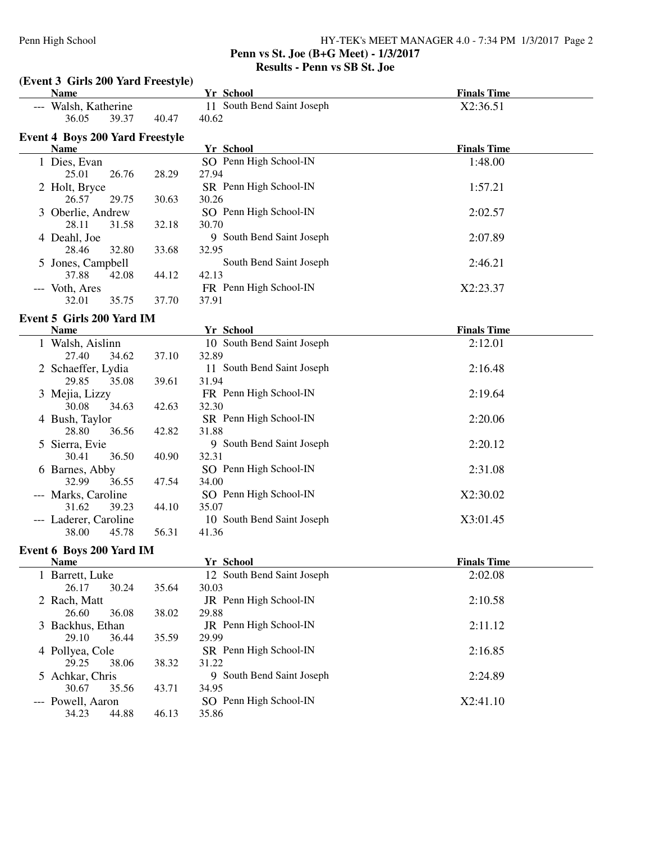### **Penn vs St. Joe (B+G Meet) - 1/3/2017 Results - Penn vs SB St. Joe**

| (Event 3 Girls 200 Yard Freestyle)     |       |                            |                    |  |  |  |  |
|----------------------------------------|-------|----------------------------|--------------------|--|--|--|--|
| <b>Name</b>                            |       | Yr School                  | <b>Finals Time</b> |  |  |  |  |
| --- Walsh, Katherine                   |       | 11 South Bend Saint Joseph | X2:36.51           |  |  |  |  |
| 36.05<br>39.37                         | 40.47 | 40.62                      |                    |  |  |  |  |
| <b>Event 4 Boys 200 Yard Freestyle</b> |       |                            |                    |  |  |  |  |
| <b>Name</b>                            |       | Yr School                  | <b>Finals Time</b> |  |  |  |  |
| 1 Dies, Evan                           |       | SO Penn High School-IN     | 1:48.00            |  |  |  |  |
| 25.01<br>26.76                         | 28.29 | 27.94                      |                    |  |  |  |  |
| 2 Holt, Bryce                          |       | SR Penn High School-IN     | 1:57.21            |  |  |  |  |
| 26.57<br>29.75                         | 30.63 | 30.26                      |                    |  |  |  |  |
| 3 Oberlie, Andrew                      |       | SO Penn High School-IN     | 2:02.57            |  |  |  |  |
| 28.11<br>31.58                         | 32.18 | 30.70                      |                    |  |  |  |  |
| 4 Deahl, Joe                           |       | 9 South Bend Saint Joseph  | 2:07.89            |  |  |  |  |
| 28.46<br>32.80                         | 33.68 | 32.95                      |                    |  |  |  |  |
| 5 Jones, Campbell                      |       | South Bend Saint Joseph    | 2:46.21            |  |  |  |  |
| 37.88<br>42.08                         | 44.12 | 42.13                      |                    |  |  |  |  |
| --- Voth, Ares                         |       | FR Penn High School-IN     | X2:23.37           |  |  |  |  |
| 32.01<br>35.75                         | 37.70 | 37.91                      |                    |  |  |  |  |
| Event 5 Girls 200 Yard IM              |       |                            |                    |  |  |  |  |
| <b>Name</b>                            |       | Yr School                  | <b>Finals Time</b> |  |  |  |  |
| 1 Walsh, Aislinn                       |       | 10 South Bend Saint Joseph | 2:12.01            |  |  |  |  |
| 27.40<br>34.62                         | 37.10 | 32.89                      |                    |  |  |  |  |
| 2 Schaeffer, Lydia                     |       | 11 South Bend Saint Joseph | 2:16.48            |  |  |  |  |
| 29.85<br>35.08                         | 39.61 | 31.94                      |                    |  |  |  |  |
| 3 Mejia, Lizzy                         |       | FR Penn High School-IN     | 2:19.64            |  |  |  |  |
| 30.08<br>34.63                         | 42.63 | 32.30                      |                    |  |  |  |  |
| 4 Bush, Taylor                         |       | SR Penn High School-IN     | 2:20.06            |  |  |  |  |
| 28.80<br>36.56                         | 42.82 | 31.88                      |                    |  |  |  |  |
| 5 Sierra, Evie                         |       | 9 South Bend Saint Joseph  | 2:20.12            |  |  |  |  |
| 36.50<br>30.41                         | 40.90 | 32.31                      |                    |  |  |  |  |
| 6 Barnes, Abby                         |       | SO Penn High School-IN     | 2:31.08            |  |  |  |  |
| 32.99<br>36.55                         | 47.54 | 34.00                      |                    |  |  |  |  |
| --- Marks, Caroline                    |       | SO Penn High School-IN     | X2:30.02           |  |  |  |  |
| 31.62<br>39.23                         | 44.10 | 35.07                      |                    |  |  |  |  |
| --- Laderer, Caroline                  |       | 10 South Bend Saint Joseph | X3:01.45           |  |  |  |  |
| 38.00<br>45.78                         | 56.31 | 41.36                      |                    |  |  |  |  |
| Event 6 Boys 200 Yard IM               |       |                            |                    |  |  |  |  |
| <b>Name</b>                            |       | Yr School                  | <b>Finals Time</b> |  |  |  |  |
| 1 Barrett, Luke                        |       | 12 South Bend Saint Joseph | 2:02.08            |  |  |  |  |
| 26.17<br>30.24                         | 35.64 | 30.03                      |                    |  |  |  |  |
| 2 Rach, Matt                           |       | JR Penn High School-IN     | 2:10.58            |  |  |  |  |
| 26.60<br>36.08                         | 38.02 | 29.88                      |                    |  |  |  |  |
| 3 Backhus, Ethan                       |       | JR Penn High School-IN     | 2:11.12            |  |  |  |  |
| 29.10<br>36.44                         | 35.59 | 29.99                      |                    |  |  |  |  |
| 4 Pollyea, Cole                        |       | SR Penn High School-IN     | 2:16.85            |  |  |  |  |
| 29.25<br>38.06                         | 38.32 | 31.22                      |                    |  |  |  |  |
| 5 Achkar, Chris                        |       | 9 South Bend Saint Joseph  | 2:24.89            |  |  |  |  |
| 30.67<br>35.56                         | 43.71 | 34.95                      |                    |  |  |  |  |
| --- Powell, Aaron                      |       | SO Penn High School-IN     | X2:41.10           |  |  |  |  |
| 34.23<br>44.88                         | 46.13 | 35.86                      |                    |  |  |  |  |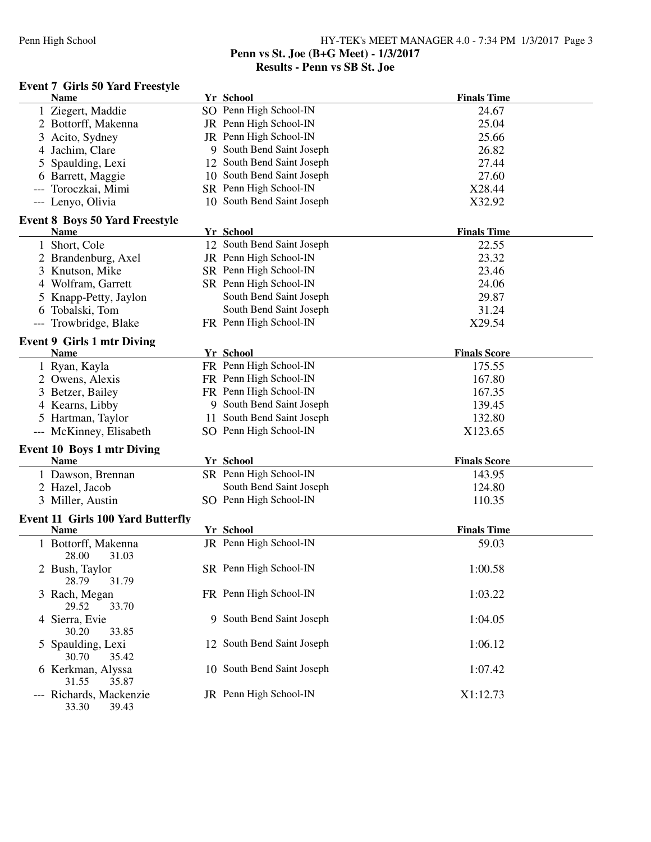### Penn High School HY-TEK's MEET MANAGER 4.0 - 7:34 PM 1/3/2017 Page 3 **Penn vs St. Joe (B+G Meet) - 1/3/2017**

## **Results - Penn vs SB St. Joe**

## **Event 7 Girls 50 Yard Freestyle**

| <b>Name</b>                                          | Yr School                  | <b>Finals Time</b>  |
|------------------------------------------------------|----------------------------|---------------------|
| 1 Ziegert, Maddie                                    | SO Penn High School-IN     | 24.67               |
| 2 Bottorff, Makenna                                  | JR Penn High School-IN     | 25.04               |
| 3 Acito, Sydney                                      | JR Penn High School-IN     | 25.66               |
| 4 Jachim, Clare                                      | 9 South Bend Saint Joseph  | 26.82               |
| 5 Spaulding, Lexi                                    | 12 South Bend Saint Joseph | 27.44               |
| 6 Barrett, Maggie                                    | 10 South Bend Saint Joseph | 27.60               |
| Toroczkai, Mimi                                      | SR Penn High School-IN     | X28.44              |
| --- Lenyo, Olivia                                    | 10 South Bend Saint Joseph | X32.92              |
|                                                      |                            |                     |
| <b>Event 8 Boys 50 Yard Freestyle</b><br><b>Name</b> | Yr School                  | <b>Finals Time</b>  |
| 1 Short, Cole                                        | 12 South Bend Saint Joseph | 22.55               |
| 2 Brandenburg, Axel                                  | JR Penn High School-IN     | 23.32               |
| 3 Knutson, Mike                                      | SR Penn High School-IN     | 23.46               |
| 4 Wolfram, Garrett                                   | SR Penn High School-IN     | 24.06               |
| 5 Knapp-Petty, Jaylon                                | South Bend Saint Joseph    | 29.87               |
| 6 Tobalski, Tom                                      | South Bend Saint Joseph    | 31.24               |
| Trowbridge, Blake                                    | FR Penn High School-IN     | X29.54              |
|                                                      |                            |                     |
| <b>Event 9 Girls 1 mtr Diving</b>                    |                            |                     |
| <b>Name</b>                                          | Yr School                  | <b>Finals Score</b> |
| 1 Ryan, Kayla                                        | FR Penn High School-IN     | 175.55              |
| 2 Owens, Alexis                                      | FR Penn High School-IN     | 167.80              |
| 3 Betzer, Bailey                                     | FR Penn High School-IN     | 167.35              |
| 4 Kearns, Libby                                      | 9 South Bend Saint Joseph  | 139.45              |
| 5 Hartman, Taylor                                    | 11 South Bend Saint Joseph | 132.80              |
| --- McKinney, Elisabeth                              | SO Penn High School-IN     | X123.65             |
| Event 10 Boys 1 mtr Diving                           |                            |                     |
| <b>Name</b>                                          | Yr School                  | <b>Finals Score</b> |
| 1 Dawson, Brennan                                    | SR Penn High School-IN     | 143.95              |
| 2 Hazel, Jacob                                       | South Bend Saint Joseph    | 124.80              |
| 3 Miller, Austin                                     | SO Penn High School-IN     | 110.35              |
| <b>Event 11 Girls 100 Yard Butterfly</b>             |                            |                     |
| <b>Name</b>                                          | Yr School                  | <b>Finals Time</b>  |
| 1 Bottorff, Makenna                                  | JR Penn High School-IN     | 59.03               |
| 28.00<br>31.03                                       |                            |                     |
| 2 Bush, Taylor                                       | SR Penn High School-IN     | 1:00.58             |
| 28.79<br>31.79                                       |                            |                     |
| 3 Rach, Megan                                        | FR Penn High School-IN     | 1:03.22             |
| 29.52<br>33.70                                       |                            |                     |
| 4 Sierra, Evie<br>30.20<br>33.85                     | 9 South Bend Saint Joseph  | 1:04.05             |
| 5 Spaulding, Lexi                                    | 12 South Bend Saint Joseph | 1:06.12             |
| 30.70<br>35.42                                       |                            |                     |
| 6 Kerkman, Alyssa                                    | 10 South Bend Saint Joseph | 1:07.42             |
| 31.55<br>35.87                                       |                            |                     |
| --- Richards, Mackenzie<br>33.30<br>39.43            | JR Penn High School-IN     | X1:12.73            |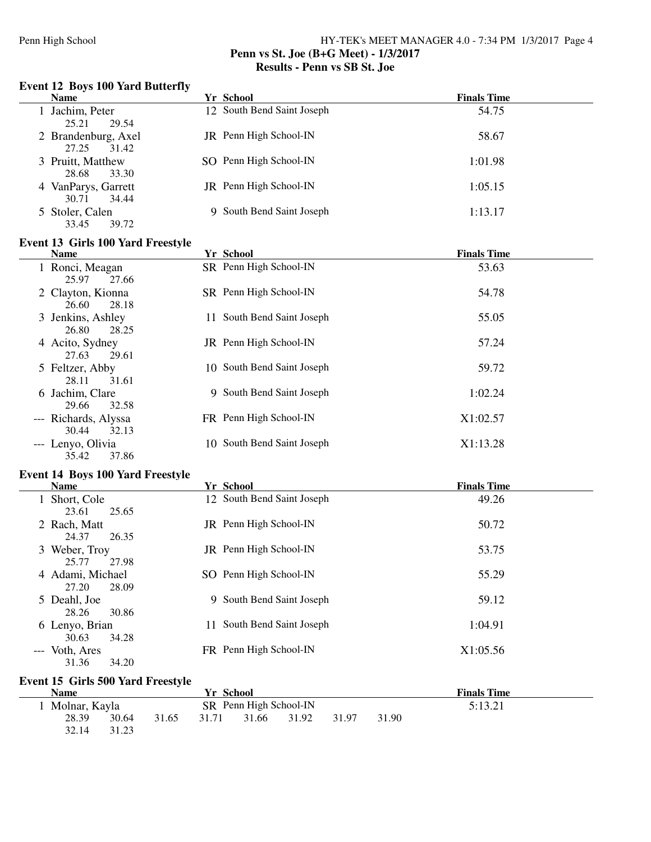### **Penn vs St. Joe (B+G Meet) - 1/3/2017 Results - Penn vs SB St. Joe**

#### **Event 12 Boys 100 Yard Butterfly**

| <b>Name</b>                           |    | Yr School                  | <b>Finals Time</b> |
|---------------------------------------|----|----------------------------|--------------------|
| 1 Jachim, Peter<br>25.21<br>29.54     |    | 12 South Bend Saint Joseph | 54.75              |
| 2 Brandenburg, Axel<br>27.25<br>31.42 |    | JR Penn High School-IN     | 58.67              |
| 3 Pruitt, Matthew<br>28.68<br>33.30   |    | SO Penn High School-IN     | 1:01.98            |
| 4 VanParys, Garrett<br>30.71<br>34.44 |    | JR Penn High School-IN     | 1:05.15            |
| 5 Stoler, Calen<br>33.45<br>39.72     |    | 9 South Bend Saint Joseph  | 1:13.17            |
| Event 13 Girls 100 Yard Freestyle     |    |                            |                    |
|                                       |    | Yr School                  | <b>Finals Time</b> |
| <b>Name</b>                           |    |                            |                    |
| 1 Ronci, Meagan<br>25.97<br>27.66     |    | SR Penn High School-IN     | 53.63              |
| 2 Clayton, Kionna<br>26.60<br>28.18   |    | SR Penn High School-IN     | 54.78              |
| 3 Jenkins, Ashley<br>26.80<br>28.25   | 11 | South Bend Saint Joseph    | 55.05              |
| 4 Acito, Sydney<br>27.63<br>29.61     |    | JR Penn High School-IN     | 57.24              |
| 5 Feltzer, Abby<br>28.11<br>31.61     |    | 10 South Bend Saint Joseph | 59.72              |

| 6 Jachim, Clare      | 9 South Bend Saint Joseph  | 1:02.24  |
|----------------------|----------------------------|----------|
| 32.58<br>29.66       |                            |          |
| --- Richards, Alyssa | FR Penn High School-IN     | X1:02.57 |
| 30.44 32.13          |                            |          |
| --- Lenyo, Olivia    | 10 South Bend Saint Joseph | X1:13.28 |
| 35.42<br>37.86       |                            |          |

#### **Event 14 Boys 100 Yard Freestyle**

| <b>Name</b>                                      | Yr School                     | <b>Finals Time</b> |
|--------------------------------------------------|-------------------------------|--------------------|
| Short, Cole                                      | 12 South Bend Saint Joseph    | 49.26              |
| 25.65<br>23.61<br>2 Rach, Matt<br>24.37<br>26.35 | JR Penn High School-IN        | 50.72              |
| 3 Weber, Troy<br>27.98<br>25.77                  | JR Penn High School-IN        | 53.75              |
| 4 Adami, Michael<br>27.20<br>28.09               | SO Penn High School-IN        | 55.29              |
| 5 Deahl, Joe<br>28.26<br>30.86                   | 9 South Bend Saint Joseph     | 59.12              |
| 6 Lenyo, Brian<br>30.63<br>34.28                 | South Bend Saint Joseph<br>11 | 1:04.91            |
| --- Voth, Ares<br>31.36<br>34.20                 | FR Penn High School-IN        | X1:05.56           |

### **Event 15 Girls 500 Yard Freestyle**

| <b>Name</b>   |       |       | Yr School |                        |       |       |       | <b>Finals Time</b> |  |
|---------------|-------|-------|-----------|------------------------|-------|-------|-------|--------------------|--|
| Molnar, Kayla |       |       |           | SR Penn High School-IN |       |       |       | 5:13.21            |  |
| 28.39         | 30.64 | 31.65 | 31.71     | 31.66                  | 31.92 | 31.97 | 31.90 |                    |  |
| 32.14         | 31.23 |       |           |                        |       |       |       |                    |  |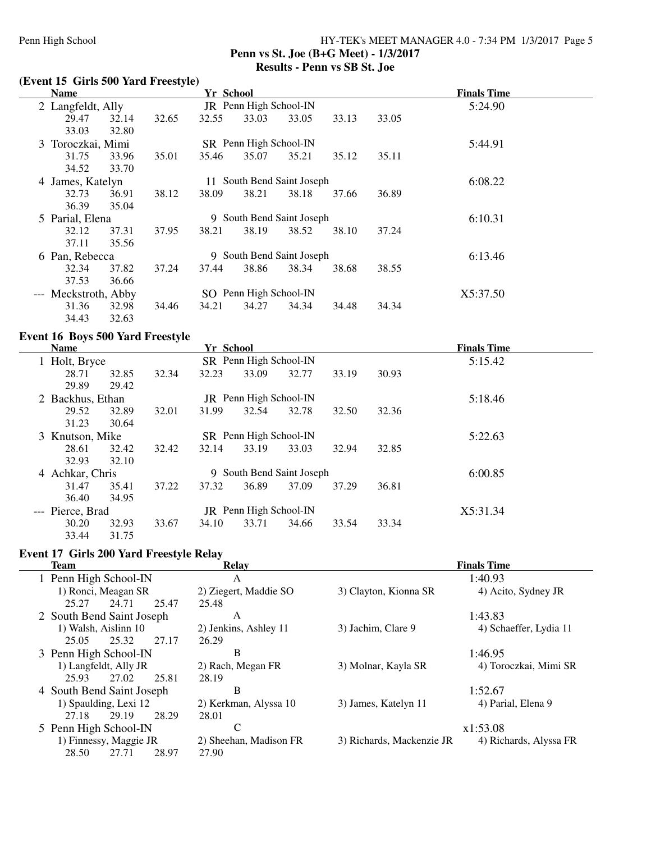### Penn High School HY-TEK's MEET MANAGER 4.0 - 7:34 PM 1/3/2017 Page 5 **Penn vs St. Joe (B+G Meet) - 1/3/2017 Results - Penn vs SB St. Joe**

## **(Event 15 Girls 500 Yard Freestyle)**

| <b>Name</b>          |       |       | Yr School |                        |                           |       |       | <b>Finals Time</b> |  |
|----------------------|-------|-------|-----------|------------------------|---------------------------|-------|-------|--------------------|--|
| 2 Langfeldt, Ally    |       |       |           | JR Penn High School-IN |                           |       |       | 5:24.90            |  |
| 29.47                | 32.14 | 32.65 | 32.55     | 33.03                  | 33.05                     | 33.13 | 33.05 |                    |  |
| 33.03                | 32.80 |       |           |                        |                           |       |       |                    |  |
| 3 Toroczkai, Mimi    |       |       |           | SR Penn High School-IN |                           |       |       | 5:44.91            |  |
| 31.75                | 33.96 | 35.01 | 35.46     | 35.07                  | 35.21                     | 35.12 | 35.11 |                    |  |
| 34.52                | 33.70 |       |           |                        |                           |       |       |                    |  |
| 4 James, Katelyn     |       |       | 11        |                        | South Bend Saint Joseph   |       |       | 6:08.22            |  |
| 32.73                | 36.91 | 38.12 | 38.09     | 38.21                  | 38.18                     | 37.66 | 36.89 |                    |  |
| 36.39                | 35.04 |       |           |                        |                           |       |       |                    |  |
| 5 Parial, Elena      |       |       |           |                        | 9 South Bend Saint Joseph |       |       | 6:10.31            |  |
| 32.12                | 37.31 | 37.95 | 38.21     | 38.19                  | 38.52                     | 38.10 | 37.24 |                    |  |
| 37.11                | 35.56 |       |           |                        |                           |       |       |                    |  |
| 6 Pan, Rebecca       |       |       |           |                        | 9 South Bend Saint Joseph |       |       | 6:13.46            |  |
| 32.34                | 37.82 | 37.24 | 37.44     | 38.86                  | 38.34                     | 38.68 | 38.55 |                    |  |
| 37.53                | 36.66 |       |           |                        |                           |       |       |                    |  |
| --- Meckstroth, Abby |       |       |           | SO Penn High School-IN |                           |       |       | X5:37.50           |  |
| 31.36                | 32.98 | 34.46 | 34.21     | 34.27                  | 34.34                     | 34.48 | 34.34 |                    |  |
| 34.43                | 32.63 |       |           |                        |                           |       |       |                    |  |

## **Event 16 Boys 500 Yard Freestyle**

| <b>Name</b>      |       |       | Yr School |                               |                           |       |       | <b>Finals Time</b> |  |
|------------------|-------|-------|-----------|-------------------------------|---------------------------|-------|-------|--------------------|--|
| 1 Holt, Bryce    |       |       |           | SR Penn High School-IN        |                           |       |       | 5:15.42            |  |
| 28.71            | 32.85 | 32.34 | 32.23     | 33.09                         | 32.77                     | 33.19 | 30.93 |                    |  |
| 29.89            | 29.42 |       |           |                               |                           |       |       |                    |  |
| 2 Backhus, Ethan |       |       |           | <b>JR</b> Penn High School-IN |                           |       |       | 5:18.46            |  |
| 29.52            | 32.89 | 32.01 | 31.99     | 32.54                         | 32.78                     | 32.50 | 32.36 |                    |  |
| 31.23            | 30.64 |       |           |                               |                           |       |       |                    |  |
| 3 Knutson, Mike  |       |       |           | SR Penn High School-IN        |                           |       |       | 5:22.63            |  |
| 28.61            | 32.42 | 32.42 | 32.14     | 33.19                         | 33.03                     | 32.94 | 32.85 |                    |  |
| 32.93            | 32.10 |       |           |                               |                           |       |       |                    |  |
| 4 Achkar, Chris  |       |       |           |                               | 9 South Bend Saint Joseph |       |       | 6:00.85            |  |
| 31.47            | 35.41 | 37.22 | 37.32     | 36.89                         | 37.09                     | 37.29 | 36.81 |                    |  |
| 36.40            | 34.95 |       |           |                               |                           |       |       |                    |  |
| --- Pierce, Brad |       |       |           | JR Penn High School-IN        |                           |       |       | X5:31.34           |  |
| 30.20            | 32.93 | 33.67 | 34.10     | 33.71                         | 34.66                     | 33.54 | 33.34 |                    |  |
| 33.44            | 31.75 |       |           |                               |                           |       |       |                    |  |

### **Event 17 Girls 200 Yard Freestyle Relay**

| <b>Team</b>               | <b>Relay</b>           | <b>Finals Time</b>        |                        |  |  |
|---------------------------|------------------------|---------------------------|------------------------|--|--|
| 1 Penn High School-IN     | A                      |                           | 1:40.93                |  |  |
| 1) Ronci, Meagan SR       | 2) Ziegert, Maddie SO  | 3) Clayton, Kionna SR     | 4) Acito, Sydney JR    |  |  |
| 25.27<br>24.71<br>25.47   | 25.48                  |                           |                        |  |  |
| 2 South Bend Saint Joseph | A                      |                           | 1:43.83                |  |  |
| 1) Walsh, Aislinn 10      | 2) Jenkins, Ashley 11  | 3) Jachim, Clare 9        | 4) Schaeffer, Lydia 11 |  |  |
| 27.17<br>25.05<br>25.32   | 26.29                  |                           |                        |  |  |
| 3 Penn High School-IN     | B                      |                           | 1:46.95                |  |  |
| 1) Langfeldt, Ally JR     | 2) Rach, Megan FR      | 3) Molnar, Kayla SR       | 4) Toroczkai, Mimi SR  |  |  |
| 27.02<br>25.93<br>25.81   | 28.19                  |                           |                        |  |  |
| 4 South Bend Saint Joseph | В                      |                           | 1:52.67                |  |  |
| 1) Spaulding, Lexi 12     | 2) Kerkman, Alyssa 10  | 3) James, Katelyn 11      | 4) Parial, Elena 9     |  |  |
| 29.19<br>28.29<br>27.18   | 28.01                  |                           |                        |  |  |
| 5 Penn High School-IN     | C                      |                           | x1:53.08               |  |  |
| 1) Finnessy, Maggie JR    | 2) Sheehan, Madison FR | 3) Richards, Mackenzie JR | 4) Richards, Alyssa FR |  |  |
| 27.71<br>28.50<br>28.97   | 27.90                  |                           |                        |  |  |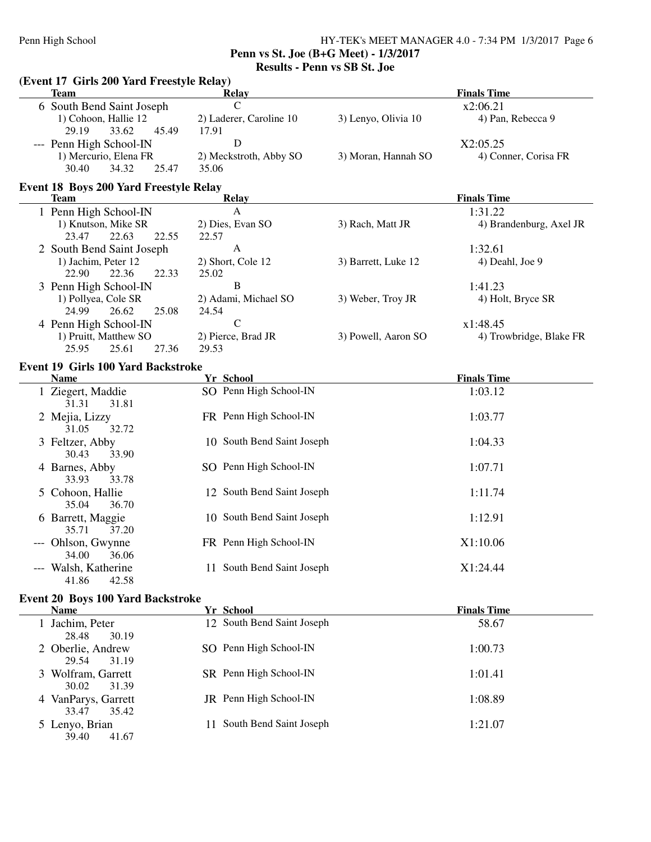**Penn vs St. Joe (B+G Meet) - 1/3/2017**

**Results - Penn vs SB St. Joe**

|                                                                                             | (Event 17 Girls 200 Yard Freestyle Relay)<br><b>Team</b>                     | <b>Relay</b>                         |                     | <b>Finals Time</b>               |  |  |  |  |  |
|---------------------------------------------------------------------------------------------|------------------------------------------------------------------------------|--------------------------------------|---------------------|----------------------------------|--|--|--|--|--|
|                                                                                             |                                                                              | $\mathsf{C}$                         |                     | x2:06.21                         |  |  |  |  |  |
|                                                                                             | 6 South Bend Saint Joseph<br>1) Cohoon, Hallie 12<br>29.19<br>33.62<br>45.49 | 2) Laderer, Caroline 10<br>17.91     | 3) Lenyo, Olivia 10 | 4) Pan, Rebecca 9                |  |  |  |  |  |
|                                                                                             | --- Penn High School-IN<br>1) Mercurio, Elena FR<br>34.32<br>30.40<br>25.47  | D<br>2) Meckstroth, Abby SO<br>35.06 | 3) Moran, Hannah SO | X2:05.25<br>4) Conner, Corisa FR |  |  |  |  |  |
| <b>Event 18 Boys 200 Yard Freestyle Relay</b><br><b>Finals Time</b><br><b>Team</b><br>Relay |                                                                              |                                      |                     |                                  |  |  |  |  |  |
|                                                                                             | 1 Penn High School-IN                                                        | A                                    |                     | 1:31.22                          |  |  |  |  |  |
|                                                                                             | 1) Knutson, Mike SR<br>23.47<br>22.63<br>22.55                               | 2) Dies, Evan SO<br>22.57            | 3) Rach, Matt JR    | 4) Brandenburg, Axel JR          |  |  |  |  |  |
|                                                                                             | 2 South Bend Saint Joseph                                                    | A                                    |                     | 1:32.61                          |  |  |  |  |  |
|                                                                                             | 1) Jachim, Peter 12<br>22.90<br>22.36<br>22.33                               | 2) Short, Cole 12<br>25.02           | 3) Barrett, Luke 12 | 4) Deahl, Joe 9                  |  |  |  |  |  |
|                                                                                             | 3 Penn High School-IN                                                        | B                                    |                     | 1:41.23                          |  |  |  |  |  |
|                                                                                             | 1) Pollyea, Cole SR<br>24.99<br>26.62<br>25.08                               | 2) Adami, Michael SO<br>24.54        | 3) Weber, Troy JR   | 4) Holt, Bryce SR                |  |  |  |  |  |
|                                                                                             | 4 Penn High School-IN                                                        | $\mathbf C$                          |                     | x1:48.45                         |  |  |  |  |  |
|                                                                                             | 1) Pruitt, Matthew SO<br>25.95<br>25.61<br>27.36                             | 2) Pierce, Brad JR<br>29.53          | 3) Powell, Aaron SO | 4) Trowbridge, Blake FR          |  |  |  |  |  |
|                                                                                             | <b>Event 19 Girls 100 Yard Backstroke</b><br><b>Name</b>                     | Yr School                            | <b>Finals Time</b>  |                                  |  |  |  |  |  |
|                                                                                             | 1 Ziegert, Maddie                                                            | SO Penn High School-IN               |                     | 1:03.12                          |  |  |  |  |  |
|                                                                                             | 31.81<br>31.31                                                               |                                      |                     |                                  |  |  |  |  |  |
|                                                                                             | 2 Mejia, Lizzy<br>32.72<br>31.05                                             | FR Penn High School-IN               |                     | 1:03.77                          |  |  |  |  |  |
|                                                                                             | 3 Feltzer, Abby<br>30.43<br>33.90                                            | 10 South Bend Saint Joseph           |                     | 1:04.33                          |  |  |  |  |  |
|                                                                                             | 4 Barnes, Abby<br>33.93<br>33.78                                             | SO Penn High School-IN               |                     | 1:07.71                          |  |  |  |  |  |
|                                                                                             | 5 Cohoon, Hallie<br>35.04<br>36.70                                           | 12 South Bend Saint Joseph           |                     | 1:11.74                          |  |  |  |  |  |
|                                                                                             | 6 Barrett, Maggie<br>35.71<br>37.20                                          | 10 South Bend Saint Joseph           |                     | 1:12.91                          |  |  |  |  |  |
|                                                                                             | --- Ohlson, Gwynne<br>34.00<br>36.06                                         | FR Penn High School-IN               |                     | X1:10.06                         |  |  |  |  |  |
|                                                                                             | --- Walsh, Katherine<br>42.58<br>41.86                                       | 11 South Bend Saint Joseph           |                     | X1:24.44                         |  |  |  |  |  |
|                                                                                             | <b>Event 20 Boys 100 Yard Backstroke</b><br>Name                             | Yr School                            |                     | <b>Finals Time</b>               |  |  |  |  |  |
|                                                                                             |                                                                              | 12 South Bend Saint Joseph           |                     |                                  |  |  |  |  |  |
|                                                                                             | 1 Jachim, Peter<br>28.48<br>30.19                                            | SO Penn High School-IN               |                     | 58.67                            |  |  |  |  |  |
|                                                                                             | 2 Oberlie, Andrew<br>29.54<br>31.19                                          |                                      |                     | 1:00.73                          |  |  |  |  |  |
|                                                                                             | 3 Wolfram, Garrett<br>30.02<br>31.39                                         | SR Penn High School-IN               |                     | 1:01.41                          |  |  |  |  |  |
|                                                                                             | 4 VanParys, Garrett<br>33.47<br>35.42                                        | JR Penn High School-IN               |                     | 1:08.89                          |  |  |  |  |  |
|                                                                                             | 5 Lenyo, Brian<br>39.40<br>41.67                                             | 11 South Bend Saint Joseph           |                     | 1:21.07                          |  |  |  |  |  |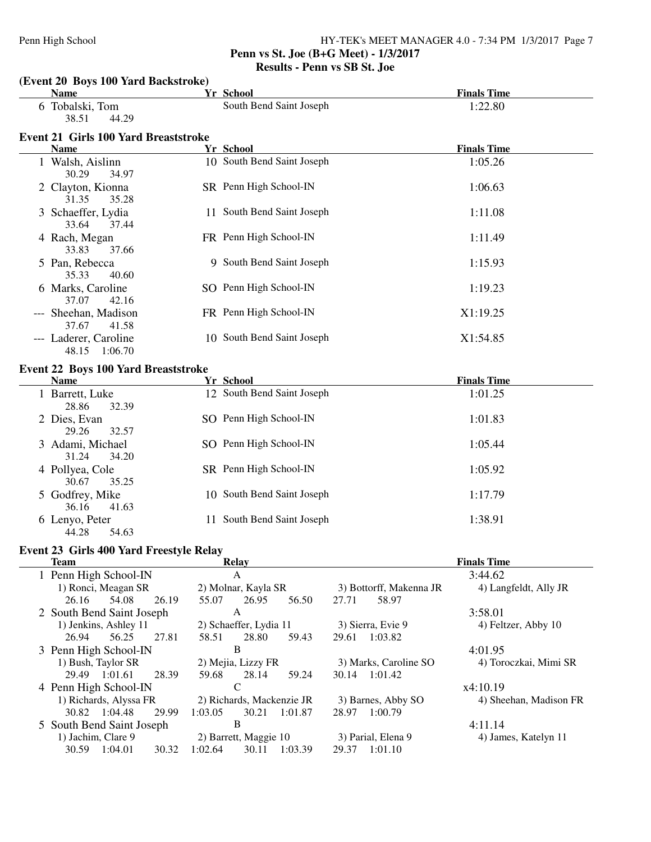### **Penn vs St. Joe (B+G Meet) - 1/3/2017 Results - Penn vs SB St. Joe**

| (Event 20 Boys 100 Yard Backstroke)                        |         |                                |                         |                        |
|------------------------------------------------------------|---------|--------------------------------|-------------------------|------------------------|
| <b>Name</b>                                                |         | <b>Yr School</b>               |                         | <b>Finals Time</b>     |
| 6 Tobalski, Tom<br>38.51<br>44.29                          |         | South Bend Saint Joseph        |                         | 1:22.80                |
| <b>Event 21 Girls 100 Yard Breaststroke</b><br><b>Name</b> |         | Yr School                      |                         | <b>Finals Time</b>     |
| 1 Walsh, Aislinn                                           |         | 10 South Bend Saint Joseph     |                         | 1:05.26                |
| 30.29<br>34.97                                             |         |                                |                         |                        |
| 2 Clayton, Kionna<br>31.35<br>35.28                        |         | SR Penn High School-IN         |                         | 1:06.63                |
| 3 Schaeffer, Lydia<br>33.64<br>37.44                       |         | 11 South Bend Saint Joseph     |                         | 1:11.08                |
| 4 Rach, Megan<br>33.83<br>37.66                            |         | FR Penn High School-IN         |                         | 1:11.49                |
| 5 Pan, Rebecca<br>35.33<br>40.60                           |         | 9 South Bend Saint Joseph      |                         | 1:15.93                |
| 6 Marks, Caroline<br>37.07<br>42.16                        |         | SO Penn High School-IN         |                         | 1:19.23                |
| --- Sheehan, Madison<br>37.67<br>41.58                     |         | FR Penn High School-IN         |                         | X1:19.25               |
| --- Laderer, Caroline<br>48.15 1:06.70                     |         | 10 South Bend Saint Joseph     |                         | X1:54.85               |
| <b>Event 22 Boys 100 Yard Breaststroke</b>                 |         |                                |                         |                        |
| <b>Name</b>                                                |         | Yr School                      |                         | <b>Finals Time</b>     |
| 1 Barrett, Luke<br>28.86<br>32.39                          |         | 12 South Bend Saint Joseph     |                         | 1:01.25                |
| 2 Dies, Evan<br>29.26<br>32.57                             |         | SO Penn High School-IN         |                         | 1:01.83                |
| 3 Adami, Michael<br>31.24<br>34.20                         |         | SO Penn High School-IN         |                         | 1:05.44                |
| 4 Pollyea, Cole<br>30.67<br>35.25                          |         | SR Penn High School-IN         |                         | 1:05.92                |
| 5 Godfrey, Mike<br>36.16<br>41.63                          |         | 10 South Bend Saint Joseph     |                         | 1:17.79                |
| 6 Lenyo, Peter<br>44.28<br>54.63                           |         | 11 South Bend Saint Joseph     |                         | 1:38.91                |
| Event 23 Girls 400 Yard Freestyle Relay                    |         |                                |                         |                        |
| <b>Team</b>                                                |         | <b>Relay</b>                   |                         | <b>Finals Time</b>     |
| 1 Penn High School-IN                                      |         | A                              |                         | 3:44.62                |
| 1) Ronci, Meagan SR                                        |         | 2) Molnar, Kayla SR            | 3) Bottorff, Makenna JR | 4) Langfeldt, Ally JR  |
| 26.16<br>54.08<br>26.19                                    | 55.07   | 26.95<br>56.50                 | 27.71<br>58.97          |                        |
| 2 South Bend Saint Joseph                                  |         | A                              |                         | 3:58.01                |
| 1) Jenkins, Ashley 11                                      |         | 2) Schaeffer, Lydia 11         | 3) Sierra, Evie 9       | 4) Feltzer, Abby 10    |
| 26.94<br>56.25<br>27.81                                    | 58.51   | 28.80<br>59.43                 | 29.61<br>1:03.82        |                        |
| 3 Penn High School-IN                                      |         | $\mathbf B$                    |                         | 4:01.95                |
| 1) Bush, Taylor SR                                         | 59.68   | 2) Mejia, Lizzy FR             | 3) Marks, Caroline SO   | 4) Toroczkai, Mimi SR  |
| 29.49 1:01.61<br>28.39<br>4 Penn High School-IN            |         | 28.14<br>59.24<br>$\mathsf{C}$ | 30.14 1:01.42           | x4:10.19               |
| 1) Richards, Alyssa FR                                     |         | 2) Richards, Mackenzie JR      | 3) Barnes, Abby SO      | 4) Sheehan, Madison FR |
| 30.82 1:04.48<br>29.99                                     | 1:03.05 | 30.21<br>1:01.87               | 28.97<br>1:00.79        |                        |
| 5 South Bend Saint Joseph                                  |         | $\bf{B}$                       |                         | 4:11.14                |
| 1) Jachim, Clare 9                                         |         | 2) Barrett, Maggie 10          | 3) Parial, Elena 9      | 4) James, Katelyn 11   |
| 30.59 1:04.01<br>30.32                                     | 1:02.64 | 1:03.39<br>30.11               | 29.37 1:01.10           |                        |